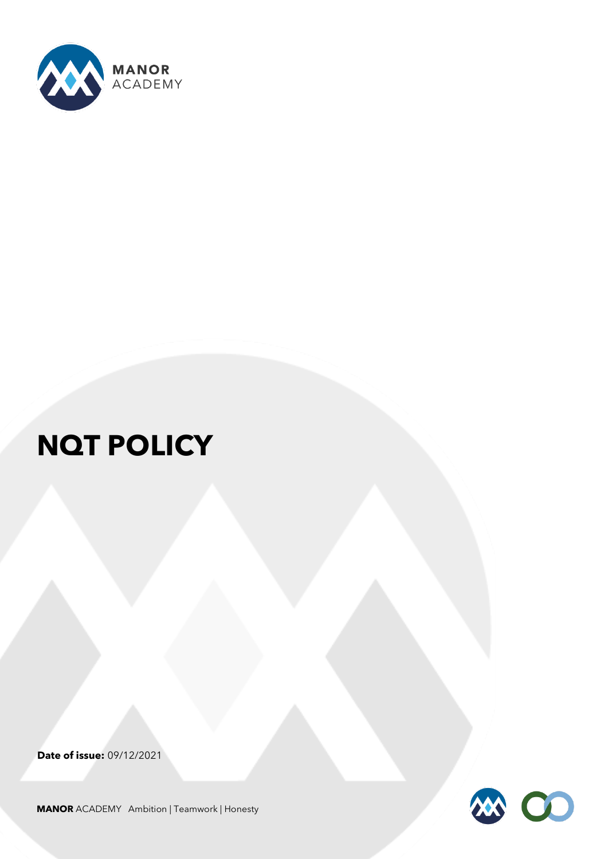

# **NQT POLICY**

**Date of issue:** 09/12/2021



**MANOR** ACADEMY Ambition | Teamwork | Honesty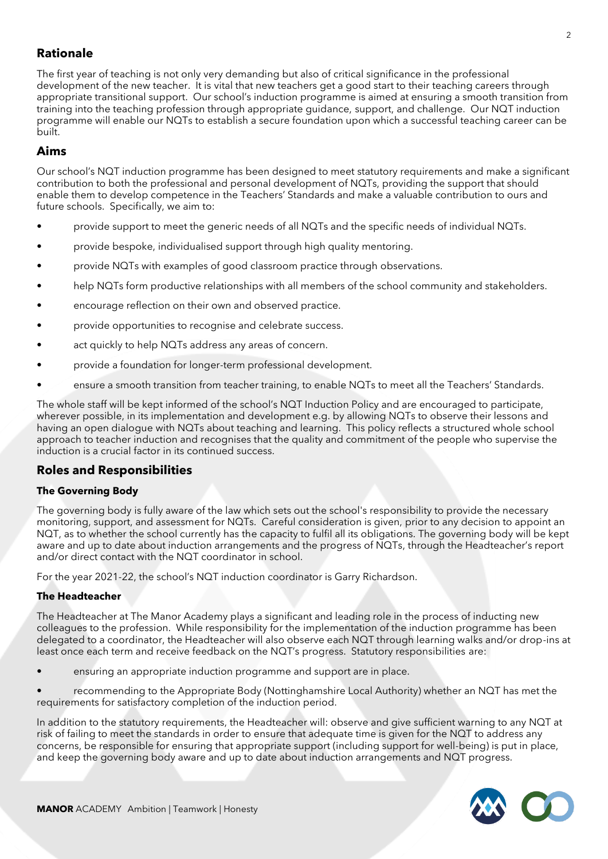# **Rationale**

The first year of teaching is not only very demanding but also of critical significance in the professional development of the new teacher. It is vital that new teachers get a good start to their teaching careers through appropriate transitional support. Our school's induction programme is aimed at ensuring a smooth transition from training into the teaching profession through appropriate guidance, support, and challenge. Our NQT induction programme will enable our NQTs to establish a secure foundation upon which a successful teaching career can be built.

# **Aims**

Our school's NQT induction programme has been designed to meet statutory requirements and make a significant contribution to both the professional and personal development of NQTs, providing the support that should enable them to develop competence in the Teachers' Standards and make a valuable contribution to ours and future schools. Specifically, we aim to:

- provide support to meet the generic needs of all NQTs and the specific needs of individual NQTs.
- provide bespoke, individualised support through high quality mentoring.
- provide NQTs with examples of good classroom practice through observations.
- help NQTs form productive relationships with all members of the school community and stakeholders.
- encourage reflection on their own and observed practice.
- provide opportunities to recognise and celebrate success.
- act quickly to help NQTs address any areas of concern.
- provide a foundation for longer-term professional development.
- ensure a smooth transition from teacher training, to enable NQTs to meet all the Teachers' Standards.

The whole staff will be kept informed of the school's NQT Induction Policy and are encouraged to participate, wherever possible, in its implementation and development e.g. by allowing NQTs to observe their lessons and having an open dialogue with NQTs about teaching and learning. This policy reflects a structured whole school approach to teacher induction and recognises that the quality and commitment of the people who supervise the induction is a crucial factor in its continued success.

# **Roles and Responsibilities**

## **The Governing Body**

The governing body is fully aware of the law which sets out the school's responsibility to provide the necessary monitoring, support, and assessment for NQTs. Careful consideration is given, prior to any decision to appoint an NQT, as to whether the school currently has the capacity to fulfil all its obligations. The governing body will be kept aware and up to date about induction arrangements and the progress of NQTs, through the Headteacher's report and/or direct contact with the NQT coordinator in school.

For the year 2021-22, the school's NQT induction coordinator is Garry Richardson.

## **The Headteacher**

The Headteacher at The Manor Academy plays a significant and leading role in the process of inducting new colleagues to the profession. While responsibility for the implementation of the induction programme has been delegated to a coordinator, the Headteacher will also observe each NQT through learning walks and/or drop-ins at least once each term and receive feedback on the NQT's progress. Statutory responsibilities are:

• ensuring an appropriate induction programme and support are in place.

• recommending to the Appropriate Body (Nottinghamshire Local Authority) whether an NQT has met the requirements for satisfactory completion of the induction period.

In addition to the statutory requirements, the Headteacher will: observe and give sufficient warning to any NQT at risk of failing to meet the standards in order to ensure that adequate time is given for the NQT to address any concerns, be responsible for ensuring that appropriate support (including support for well-being) is put in place, and keep the governing body aware and up to date about induction arrangements and NQT progress.

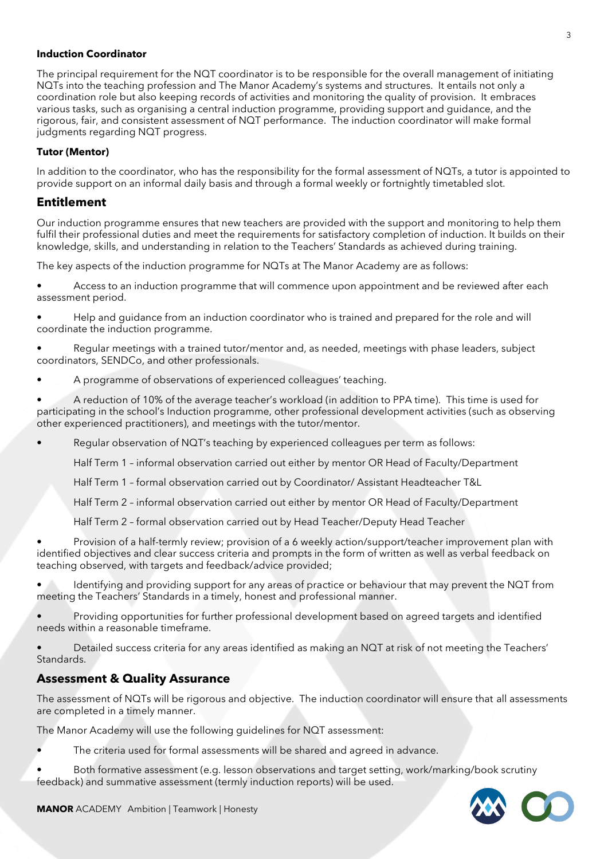#### **Induction Coordinator**

The principal requirement for the NQT coordinator is to be responsible for the overall management of initiating NQTs into the teaching profession and The Manor Academy's systems and structures. It entails not only a coordination role but also keeping records of activities and monitoring the quality of provision. It embraces various tasks, such as organising a central induction programme, providing support and guidance, and the rigorous, fair, and consistent assessment of NQT performance. The induction coordinator will make formal judgments regarding NQT progress.

#### **Tutor (Mentor)**

In addition to the coordinator, who has the responsibility for the formal assessment of NQTs, a tutor is appointed to provide support on an informal daily basis and through a formal weekly or fortnightly timetabled slot.

## **Entitlement**

Our induction programme ensures that new teachers are provided with the support and monitoring to help them fulfil their professional duties and meet the requirements for satisfactory completion of induction. It builds on their knowledge, skills, and understanding in relation to the Teachers' Standards as achieved during training.

The key aspects of the induction programme for NQTs at The Manor Academy are as follows:

• Access to an induction programme that will commence upon appointment and be reviewed after each assessment period.

- Help and guidance from an induction coordinator who is trained and prepared for the role and will coordinate the induction programme.
- Regular meetings with a trained tutor/mentor and, as needed, meetings with phase leaders, subject coordinators, SENDCo, and other professionals.
- A programme of observations of experienced colleagues' teaching.

• A reduction of 10% of the average teacher's workload (in addition to PPA time). This time is used for participating in the school's Induction programme, other professional development activities (such as observing other experienced practitioners), and meetings with the tutor/mentor.

- Regular observation of NQT's teaching by experienced colleagues per term as follows:
	- Half Term 1 informal observation carried out either by mentor OR Head of Faculty/Department
	- Half Term 1 formal observation carried out by Coordinator/ Assistant Headteacher T&L

Half Term 2 – informal observation carried out either by mentor OR Head of Faculty/Department

Half Term 2 – formal observation carried out by Head Teacher/Deputy Head Teacher

• Provision of a half-termly review; provision of a 6 weekly action/support/teacher improvement plan with identified objectives and clear success criteria and prompts in the form of written as well as verbal feedback on teaching observed, with targets and feedback/advice provided;

• Identifying and providing support for any areas of practice or behaviour that may prevent the NQT from meeting the Teachers' Standards in a timely, honest and professional manner.

- Providing opportunities for further professional development based on agreed targets and identified needs within a reasonable timeframe.
- Detailed success criteria for any areas identified as making an NQT at risk of not meeting the Teachers' Standards.

## **Assessment & Quality Assurance**

The assessment of NQTs will be rigorous and objective. The induction coordinator will ensure that all assessments are completed in a timely manner.

The Manor Academy will use the following guidelines for NQT assessment:

- The criteria used for formal assessments will be shared and agreed in advance.
- Both formative assessment (e.g. lesson observations and target setting, work/marking/book scrutiny feedback) and summative assessment (termly induction reports) will be used.